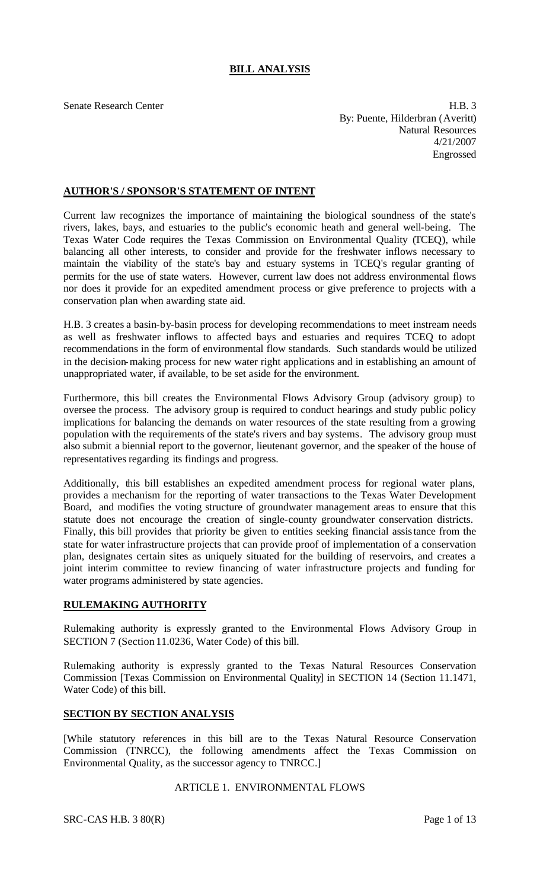# **BILL ANALYSIS**

Senate Research Center **H.B.** 3 By: Puente, Hilderbran (Averitt) Natural Resources 4/21/2007 Engrossed

## **AUTHOR'S / SPONSOR'S STATEMENT OF INTENT**

Current law recognizes the importance of maintaining the biological soundness of the state's rivers, lakes, bays, and estuaries to the public's economic heath and general well-being. The Texas Water Code requires the Texas Commission on Environmental Quality (TCEQ), while balancing all other interests, to consider and provide for the freshwater inflows necessary to maintain the viability of the state's bay and estuary systems in TCEQ's regular granting of permits for the use of state waters. However, current law does not address environmental flows nor does it provide for an expedited amendment process or give preference to projects with a conservation plan when awarding state aid.

H.B. 3 creates a basin-by-basin process for developing recommendations to meet instream needs as well as freshwater inflows to affected bays and estuaries and requires TCEQ to adopt recommendations in the form of environmental flow standards. Such standards would be utilized in the decision-making process for new water right applications and in establishing an amount of unappropriated water, if available, to be set aside for the environment.

Furthermore, this bill creates the Environmental Flows Advisory Group (advisory group) to oversee the process. The advisory group is required to conduct hearings and study public policy implications for balancing the demands on water resources of the state resulting from a growing population with the requirements of the state's rivers and bay systems. The advisory group must also submit a biennial report to the governor, lieutenant governor, and the speaker of the house of representatives regarding its findings and progress.

Additionally, this bill establishes an expedited amendment process for regional water plans, provides a mechanism for the reporting of water transactions to the Texas Water Development Board, and modifies the voting structure of groundwater management areas to ensure that this statute does not encourage the creation of single-county groundwater conservation districts. Finally, this bill provides that priority be given to entities seeking financial assistance from the state for water infrastructure projects that can provide proof of implementation of a conservation plan, designates certain sites as uniquely situated for the building of reservoirs, and creates a joint interim committee to review financing of water infrastructure projects and funding for water programs administered by state agencies.

## **RULEMAKING AUTHORITY**

Rulemaking authority is expressly granted to the Environmental Flows Advisory Group in SECTION 7 (Section 11.0236, Water Code) of this bill.

Rulemaking authority is expressly granted to the Texas Natural Resources Conservation Commission [Texas Commission on Environmental Quality] in SECTION 14 (Section 11.1471, Water Code) of this bill.

#### **SECTION BY SECTION ANALYSIS**

[While statutory references in this bill are to the Texas Natural Resource Conservation Commission (TNRCC), the following amendments affect the Texas Commission on Environmental Quality, as the successor agency to TNRCC.]

#### ARTICLE 1. ENVIRONMENTAL FLOWS

SRC-CAS H.B. 3 80(R) Page 1 of 13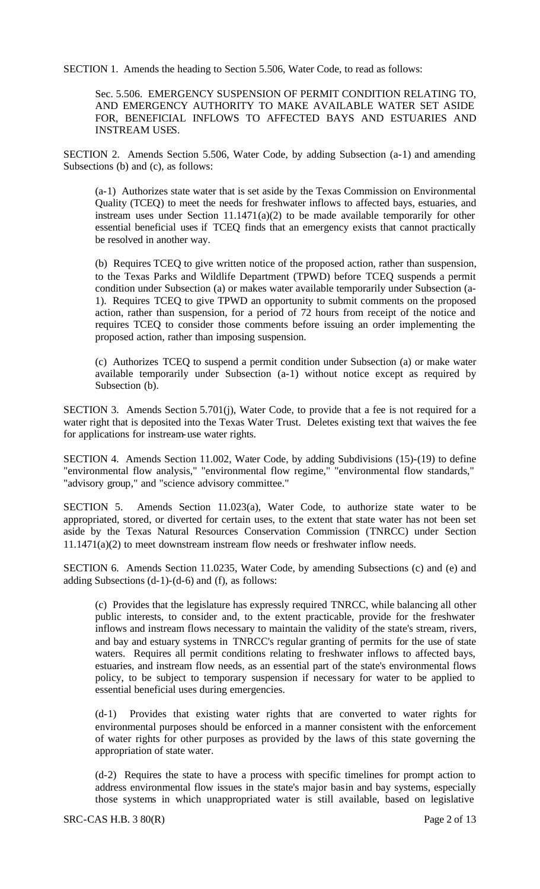SECTION 1. Amends the heading to Section 5.506, Water Code, to read as follows:

Sec. 5.506. EMERGENCY SUSPENSION OF PERMIT CONDITION RELATING TO, AND EMERGENCY AUTHORITY TO MAKE AVAILABLE WATER SET ASIDE FOR, BENEFICIAL INFLOWS TO AFFECTED BAYS AND ESTUARIES AND INSTREAM USES.

SECTION 2. Amends Section 5.506, Water Code, by adding Subsection (a-1) and amending Subsections (b) and (c), as follows:

(a-1) Authorizes state water that is set aside by the Texas Commission on Environmental Quality (TCEQ) to meet the needs for freshwater inflows to affected bays, estuaries, and instream uses under Section  $11.1471(a)(2)$  to be made available temporarily for other essential beneficial uses if TCEQ finds that an emergency exists that cannot practically be resolved in another way.

(b) Requires TCEQ to give written notice of the proposed action, rather than suspension, to the Texas Parks and Wildlife Department (TPWD) before TCEQ suspends a permit condition under Subsection (a) or makes water available temporarily under Subsection (a-1). Requires TCEQ to give TPWD an opportunity to submit comments on the proposed action, rather than suspension, for a period of 72 hours from receipt of the notice and requires TCEQ to consider those comments before issuing an order implementing the proposed action, rather than imposing suspension.

(c) Authorizes TCEQ to suspend a permit condition under Subsection (a) or make water available temporarily under Subsection (a-1) without notice except as required by Subsection (b).

SECTION 3. Amends Section 5.701(j), Water Code, to provide that a fee is not required for a water right that is deposited into the Texas Water Trust. Deletes existing text that waives the fee for applications for instream-use water rights.

SECTION 4. Amends Section 11.002, Water Code, by adding Subdivisions (15)-(19) to define "environmental flow analysis," "environmental flow regime," "environmental flow standards," "advisory group," and "science advisory committee."

SECTION 5. Amends Section 11.023(a), Water Code, to authorize state water to be appropriated, stored, or diverted for certain uses, to the extent that state water has not been set aside by the Texas Natural Resources Conservation Commission (TNRCC) under Section 11.1471(a)(2) to meet downstream instream flow needs or freshwater inflow needs.

SECTION 6. Amends Section 11.0235, Water Code, by amending Subsections (c) and (e) and adding Subsections  $(d-1)-(d-6)$  and  $(f)$ , as follows:

(c) Provides that the legislature has expressly required TNRCC, while balancing all other public interests, to consider and, to the extent practicable, provide for the freshwater inflows and instream flows necessary to maintain the validity of the state's stream, rivers, and bay and estuary systems in TNRCC's regular granting of permits for the use of state waters. Requires all permit conditions relating to freshwater inflows to affected bays, estuaries, and instream flow needs, as an essential part of the state's environmental flows policy, to be subject to temporary suspension if necessary for water to be applied to essential beneficial uses during emergencies.

(d-1) Provides that existing water rights that are converted to water rights for environmental purposes should be enforced in a manner consistent with the enforcement of water rights for other purposes as provided by the laws of this state governing the appropriation of state water.

(d-2) Requires the state to have a process with specific timelines for prompt action to address environmental flow issues in the state's major basin and bay systems, especially those systems in which unappropriated water is still available, based on legislative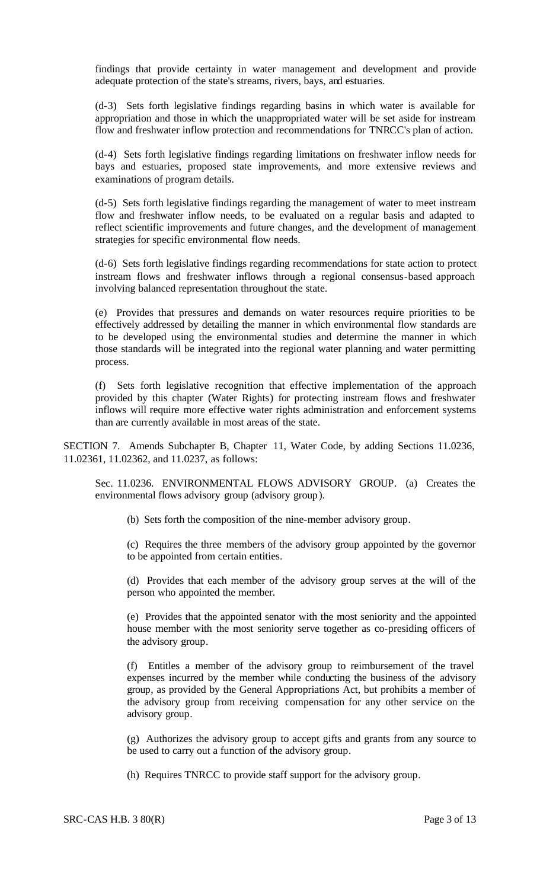findings that provide certainty in water management and development and provide adequate protection of the state's streams, rivers, bays, and estuaries.

(d-3) Sets forth legislative findings regarding basins in which water is available for appropriation and those in which the unappropriated water will be set aside for instream flow and freshwater inflow protection and recommendations for TNRCC's plan of action.

(d-4) Sets forth legislative findings regarding limitations on freshwater inflow needs for bays and estuaries, proposed state improvements, and more extensive reviews and examinations of program details.

(d-5) Sets forth legislative findings regarding the management of water to meet instream flow and freshwater inflow needs, to be evaluated on a regular basis and adapted to reflect scientific improvements and future changes, and the development of management strategies for specific environmental flow needs.

(d-6) Sets forth legislative findings regarding recommendations for state action to protect instream flows and freshwater inflows through a regional consensus-based approach involving balanced representation throughout the state.

(e) Provides that pressures and demands on water resources require priorities to be effectively addressed by detailing the manner in which environmental flow standards are to be developed using the environmental studies and determine the manner in which those standards will be integrated into the regional water planning and water permitting process.

(f) Sets forth legislative recognition that effective implementation of the approach provided by this chapter (Water Rights) for protecting instream flows and freshwater inflows will require more effective water rights administration and enforcement systems than are currently available in most areas of the state.

SECTION 7. Amends Subchapter B, Chapter 11, Water Code, by adding Sections 11.0236, 11.02361, 11.02362, and 11.0237, as follows:

Sec. 11.0236. ENVIRONMENTAL FLOWS ADVISORY GROUP. (a) Creates the environmental flows advisory group (advisory group).

(b) Sets forth the composition of the nine-member advisory group.

(c) Requires the three members of the advisory group appointed by the governor to be appointed from certain entities.

(d) Provides that each member of the advisory group serves at the will of the person who appointed the member.

(e) Provides that the appointed senator with the most seniority and the appointed house member with the most seniority serve together as co-presiding officers of the advisory group.

(f) Entitles a member of the advisory group to reimbursement of the travel expenses incurred by the member while conducting the business of the advisory group, as provided by the General Appropriations Act, but prohibits a member of the advisory group from receiving compensation for any other service on the advisory group.

(g) Authorizes the advisory group to accept gifts and grants from any source to be used to carry out a function of the advisory group.

(h) Requires TNRCC to provide staff support for the advisory group.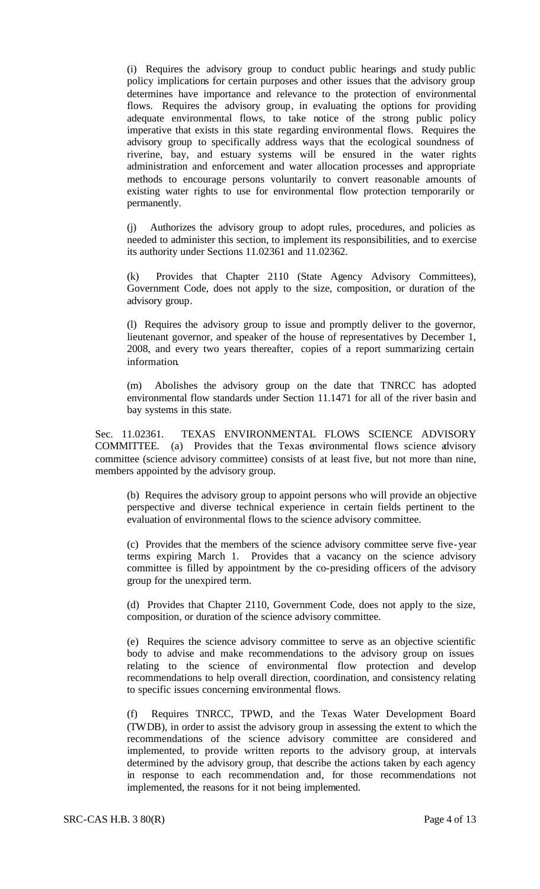(i) Requires the advisory group to conduct public hearings and study public policy implications for certain purposes and other issues that the advisory group determines have importance and relevance to the protection of environmental flows. Requires the advisory group, in evaluating the options for providing adequate environmental flows, to take notice of the strong public policy imperative that exists in this state regarding environmental flows. Requires the advisory group to specifically address ways that the ecological soundness of riverine, bay, and estuary systems will be ensured in the water rights administration and enforcement and water allocation processes and appropriate methods to encourage persons voluntarily to convert reasonable amounts of existing water rights to use for environmental flow protection temporarily or permanently.

(j) Authorizes the advisory group to adopt rules, procedures, and policies as needed to administer this section, to implement its responsibilities, and to exercise its authority under Sections 11.02361 and 11.02362.

(k) Provides that Chapter 2110 (State Agency Advisory Committees), Government Code, does not apply to the size, composition, or duration of the advisory group.

(l) Requires the advisory group to issue and promptly deliver to the governor, lieutenant governor, and speaker of the house of representatives by December 1, 2008, and every two years thereafter, copies of a report summarizing certain information.

(m) Abolishes the advisory group on the date that TNRCC has adopted environmental flow standards under Section 11.1471 for all of the river basin and bay systems in this state.

Sec. 11.02361. TEXAS ENVIRONMENTAL FLOWS SCIENCE ADVISORY COMMITTEE. (a) Provides that the Texas environmental flows science advisory committee (science advisory committee) consists of at least five, but not more than nine, members appointed by the advisory group.

(b) Requires the advisory group to appoint persons who will provide an objective perspective and diverse technical experience in certain fields pertinent to the evaluation of environmental flows to the science advisory committee.

(c) Provides that the members of the science advisory committee serve five-year terms expiring March 1. Provides that a vacancy on the science advisory committee is filled by appointment by the co-presiding officers of the advisory group for the unexpired term.

(d) Provides that Chapter 2110, Government Code, does not apply to the size, composition, or duration of the science advisory committee.

(e) Requires the science advisory committee to serve as an objective scientific body to advise and make recommendations to the advisory group on issues relating to the science of environmental flow protection and develop recommendations to help overall direction, coordination, and consistency relating to specific issues concerning environmental flows.

(f) Requires TNRCC, TPWD, and the Texas Water Development Board (TWDB), in order to assist the advisory group in assessing the extent to which the recommendations of the science advisory committee are considered and implemented, to provide written reports to the advisory group, at intervals determined by the advisory group, that describe the actions taken by each agency in response to each recommendation and, for those recommendations not implemented, the reasons for it not being implemented.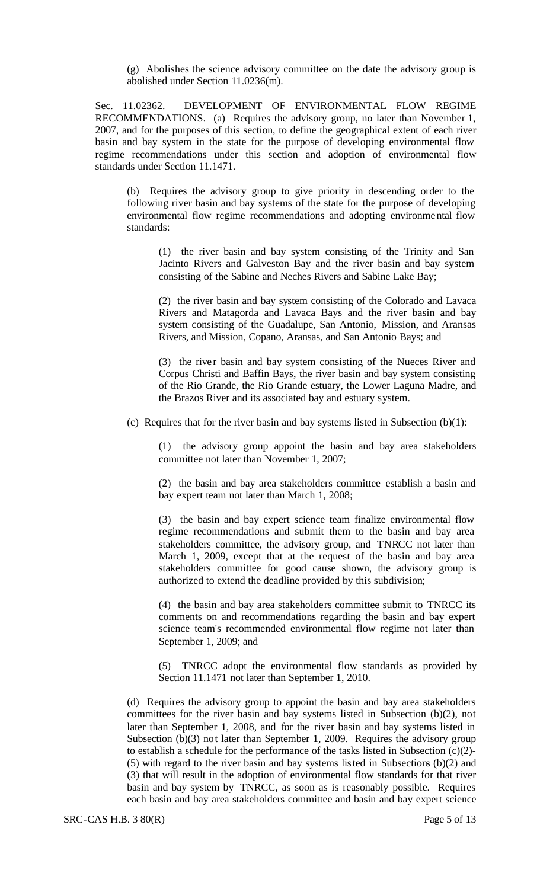(g) Abolishes the science advisory committee on the date the advisory group is abolished under Section 11.0236(m).

Sec. 11.02362. DEVELOPMENT OF ENVIRONMENTAL FLOW REGIME RECOMMENDATIONS. (a) Requires the advisory group, no later than November 1, 2007, and for the purposes of this section, to define the geographical extent of each river basin and bay system in the state for the purpose of developing environmental flow regime recommendations under this section and adoption of environmental flow standards under Section 11.1471.

(b) Requires the advisory group to give priority in descending order to the following river basin and bay systems of the state for the purpose of developing environmental flow regime recommendations and adopting environmental flow standards:

(1) the river basin and bay system consisting of the Trinity and San Jacinto Rivers and Galveston Bay and the river basin and bay system consisting of the Sabine and Neches Rivers and Sabine Lake Bay;

(2) the river basin and bay system consisting of the Colorado and Lavaca Rivers and Matagorda and Lavaca Bays and the river basin and bay system consisting of the Guadalupe, San Antonio, Mission, and Aransas Rivers, and Mission, Copano, Aransas, and San Antonio Bays; and

(3) the river basin and bay system consisting of the Nueces River and Corpus Christi and Baffin Bays, the river basin and bay system consisting of the Rio Grande, the Rio Grande estuary, the Lower Laguna Madre, and the Brazos River and its associated bay and estuary system.

(c) Requires that for the river basin and bay systems listed in Subsection  $(b)(1)$ :

(1) the advisory group appoint the basin and bay area stakeholders committee not later than November 1, 2007;

(2) the basin and bay area stakeholders committee establish a basin and bay expert team not later than March 1, 2008;

(3) the basin and bay expert science team finalize environmental flow regime recommendations and submit them to the basin and bay area stakeholders committee, the advisory group, and TNRCC not later than March 1, 2009, except that at the request of the basin and bay area stakeholders committee for good cause shown, the advisory group is authorized to extend the deadline provided by this subdivision;

(4) the basin and bay area stakeholders committee submit to TNRCC its comments on and recommendations regarding the basin and bay expert science team's recommended environmental flow regime not later than September 1, 2009; and

(5) TNRCC adopt the environmental flow standards as provided by Section 11.1471 not later than September 1, 2010.

(d) Requires the advisory group to appoint the basin and bay area stakeholders committees for the river basin and bay systems listed in Subsection (b)(2), not later than September 1, 2008, and for the river basin and bay systems listed in Subsection (b)(3) not later than September 1, 2009. Requires the advisory group to establish a schedule for the performance of the tasks listed in Subsection (c)(2)- (5) with regard to the river basin and bay systems listed in Subsections (b)(2) and (3) that will result in the adoption of environmental flow standards for that river basin and bay system by TNRCC, as soon as is reasonably possible. Requires each basin and bay area stakeholders committee and basin and bay expert science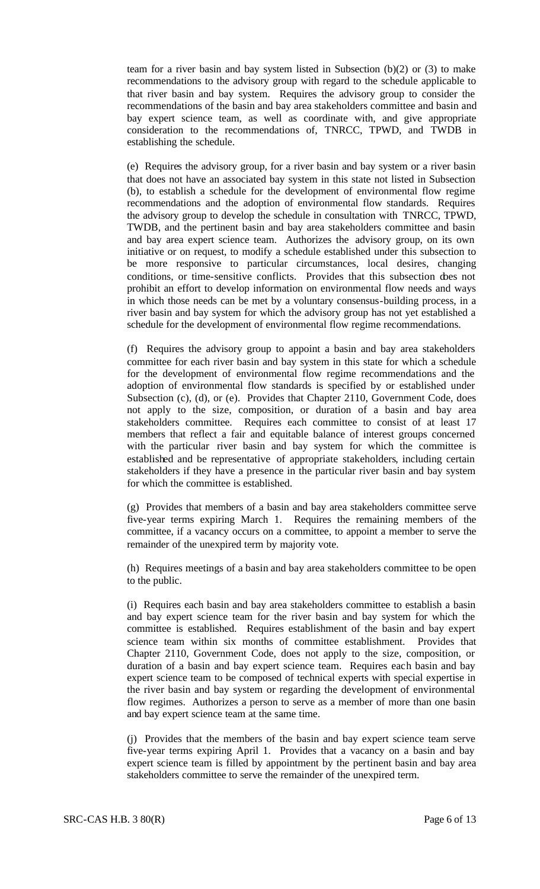team for a river basin and bay system listed in Subsection (b)(2) or (3) to make recommendations to the advisory group with regard to the schedule applicable to that river basin and bay system. Requires the advisory group to consider the recommendations of the basin and bay area stakeholders committee and basin and bay expert science team, as well as coordinate with, and give appropriate consideration to the recommendations of, TNRCC, TPWD, and TWDB in establishing the schedule.

(e) Requires the advisory group, for a river basin and bay system or a river basin that does not have an associated bay system in this state not listed in Subsection (b), to establish a schedule for the development of environmental flow regime recommendations and the adoption of environmental flow standards. Requires the advisory group to develop the schedule in consultation with TNRCC, TPWD, TWDB, and the pertinent basin and bay area stakeholders committee and basin and bay area expert science team. Authorizes the advisory group, on its own initiative or on request, to modify a schedule established under this subsection to be more responsive to particular circumstances, local desires, changing conditions, or time-sensitive conflicts. Provides that this subsection does not prohibit an effort to develop information on environmental flow needs and ways in which those needs can be met by a voluntary consensus-building process, in a river basin and bay system for which the advisory group has not yet established a schedule for the development of environmental flow regime recommendations.

(f) Requires the advisory group to appoint a basin and bay area stakeholders committee for each river basin and bay system in this state for which a schedule for the development of environmental flow regime recommendations and the adoption of environmental flow standards is specified by or established under Subsection (c), (d), or (e). Provides that Chapter 2110, Government Code, does not apply to the size, composition, or duration of a basin and bay area stakeholders committee. Requires each committee to consist of at least 17 members that reflect a fair and equitable balance of interest groups concerned with the particular river basin and bay system for which the committee is established and be representative of appropriate stakeholders, including certain stakeholders if they have a presence in the particular river basin and bay system for which the committee is established.

(g) Provides that members of a basin and bay area stakeholders committee serve five-year terms expiring March 1. Requires the remaining members of the committee, if a vacancy occurs on a committee, to appoint a member to serve the remainder of the unexpired term by majority vote.

(h) Requires meetings of a basin and bay area stakeholders committee to be open to the public.

(i) Requires each basin and bay area stakeholders committee to establish a basin and bay expert science team for the river basin and bay system for which the committee is established. Requires establishment of the basin and bay expert science team within six months of committee establishment. Provides that Chapter 2110, Government Code, does not apply to the size, composition, or duration of a basin and bay expert science team. Requires each basin and bay expert science team to be composed of technical experts with special expertise in the river basin and bay system or regarding the development of environmental flow regimes. Authorizes a person to serve as a member of more than one basin and bay expert science team at the same time.

(j) Provides that the members of the basin and bay expert science team serve five-year terms expiring April 1. Provides that a vacancy on a basin and bay expert science team is filled by appointment by the pertinent basin and bay area stakeholders committee to serve the remainder of the unexpired term.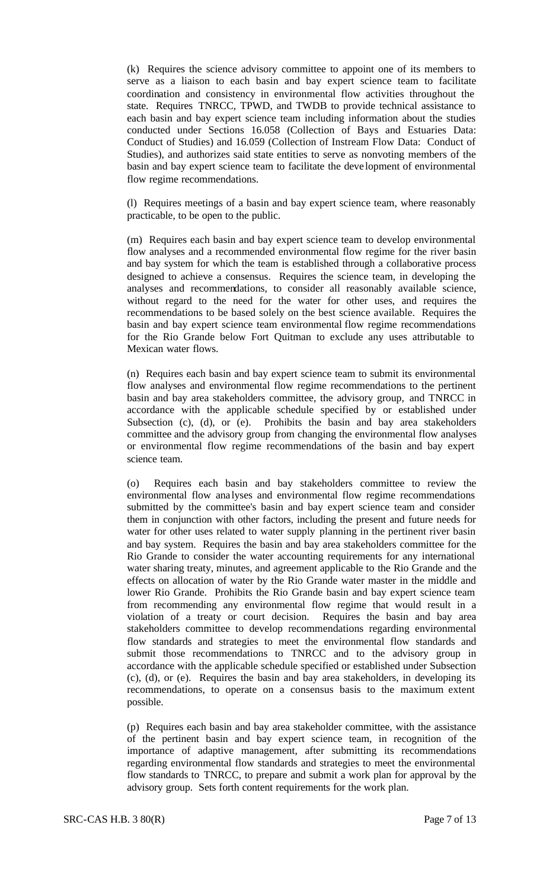(k) Requires the science advisory committee to appoint one of its members to serve as a liaison to each basin and bay expert science team to facilitate coordination and consistency in environmental flow activities throughout the state. Requires TNRCC, TPWD, and TWDB to provide technical assistance to each basin and bay expert science team including information about the studies conducted under Sections 16.058 (Collection of Bays and Estuaries Data: Conduct of Studies) and 16.059 (Collection of Instream Flow Data: Conduct of Studies), and authorizes said state entities to serve as nonvoting members of the basin and bay expert science team to facilitate the deve lopment of environmental flow regime recommendations.

(l) Requires meetings of a basin and bay expert science team, where reasonably practicable, to be open to the public.

(m) Requires each basin and bay expert science team to develop environmental flow analyses and a recommended environmental flow regime for the river basin and bay system for which the team is established through a collaborative process designed to achieve a consensus. Requires the science team, in developing the analyses and recommendations, to consider all reasonably available science, without regard to the need for the water for other uses, and requires the recommendations to be based solely on the best science available. Requires the basin and bay expert science team environmental flow regime recommendations for the Rio Grande below Fort Quitman to exclude any uses attributable to Mexican water flows.

(n) Requires each basin and bay expert science team to submit its environmental flow analyses and environmental flow regime recommendations to the pertinent basin and bay area stakeholders committee, the advisory group, and TNRCC in accordance with the applicable schedule specified by or established under Subsection (c), (d), or (e). Prohibits the basin and bay area stakeholders committee and the advisory group from changing the environmental flow analyses or environmental flow regime recommendations of the basin and bay expert science team.

(o) Requires each basin and bay stakeholders committee to review the environmental flow ana lyses and environmental flow regime recommendations submitted by the committee's basin and bay expert science team and consider them in conjunction with other factors, including the present and future needs for water for other uses related to water supply planning in the pertinent river basin and bay system. Requires the basin and bay area stakeholders committee for the Rio Grande to consider the water accounting requirements for any international water sharing treaty, minutes, and agreement applicable to the Rio Grande and the effects on allocation of water by the Rio Grande water master in the middle and lower Rio Grande. Prohibits the Rio Grande basin and bay expert science team from recommending any environmental flow regime that would result in a violation of a treaty or court decision. Requires the basin and bay area stakeholders committee to develop recommendations regarding environmental flow standards and strategies to meet the environmental flow standards and submit those recommendations to TNRCC and to the advisory group in accordance with the applicable schedule specified or established under Subsection (c), (d), or (e). Requires the basin and bay area stakeholders, in developing its recommendations, to operate on a consensus basis to the maximum extent possible.

(p) Requires each basin and bay area stakeholder committee, with the assistance of the pertinent basin and bay expert science team, in recognition of the importance of adaptive management, after submitting its recommendations regarding environmental flow standards and strategies to meet the environmental flow standards to TNRCC, to prepare and submit a work plan for approval by the advisory group. Sets forth content requirements for the work plan.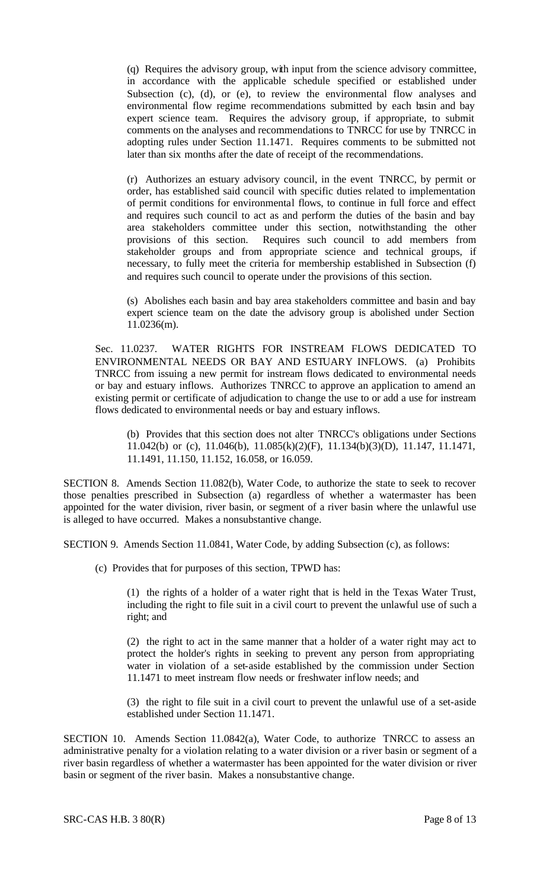(q) Requires the advisory group, with input from the science advisory committee, in accordance with the applicable schedule specified or established under Subsection (c), (d), or (e), to review the environmental flow analyses and environmental flow regime recommendations submitted by each basin and bay expert science team. Requires the advisory group, if appropriate, to submit comments on the analyses and recommendations to TNRCC for use by TNRCC in adopting rules under Section 11.1471. Requires comments to be submitted not later than six months after the date of receipt of the recommendations.

(r) Authorizes an estuary advisory council, in the event TNRCC, by permit or order, has established said council with specific duties related to implementation of permit conditions for environmental flows, to continue in full force and effect and requires such council to act as and perform the duties of the basin and bay area stakeholders committee under this section, notwithstanding the other provisions of this section. Requires such council to add members from stakeholder groups and from appropriate science and technical groups, if necessary, to fully meet the criteria for membership established in Subsection (f) and requires such council to operate under the provisions of this section.

(s) Abolishes each basin and bay area stakeholders committee and basin and bay expert science team on the date the advisory group is abolished under Section 11.0236(m).

Sec. 11.0237. WATER RIGHTS FOR INSTREAM FLOWS DEDICATED TO ENVIRONMENTAL NEEDS OR BAY AND ESTUARY INFLOWS. (a) Prohibits TNRCC from issuing a new permit for instream flows dedicated to environmental needs or bay and estuary inflows. Authorizes TNRCC to approve an application to amend an existing permit or certificate of adjudication to change the use to or add a use for instream flows dedicated to environmental needs or bay and estuary inflows.

(b) Provides that this section does not alter TNRCC's obligations under Sections 11.042(b) or (c), 11.046(b), 11.085(k)(2)(F), 11.134(b)(3)(D), 11.147, 11.1471, 11.1491, 11.150, 11.152, 16.058, or 16.059.

SECTION 8. Amends Section 11.082(b), Water Code, to authorize the state to seek to recover those penalties prescribed in Subsection (a) regardless of whether a watermaster has been appointed for the water division, river basin, or segment of a river basin where the unlawful use is alleged to have occurred. Makes a nonsubstantive change.

SECTION 9. Amends Section 11.0841, Water Code, by adding Subsection (c), as follows:

(c) Provides that for purposes of this section, TPWD has:

(1) the rights of a holder of a water right that is held in the Texas Water Trust, including the right to file suit in a civil court to prevent the unlawful use of such a right; and

(2) the right to act in the same manner that a holder of a water right may act to protect the holder's rights in seeking to prevent any person from appropriating water in violation of a set-aside established by the commission under Section 11.1471 to meet instream flow needs or freshwater inflow needs; and

(3) the right to file suit in a civil court to prevent the unlawful use of a set-aside established under Section 11.1471.

SECTION 10. Amends Section 11.0842(a), Water Code, to authorize TNRCC to assess an administrative penalty for a violation relating to a water division or a river basin or segment of a river basin regardless of whether a watermaster has been appointed for the water division or river basin or segment of the river basin. Makes a nonsubstantive change.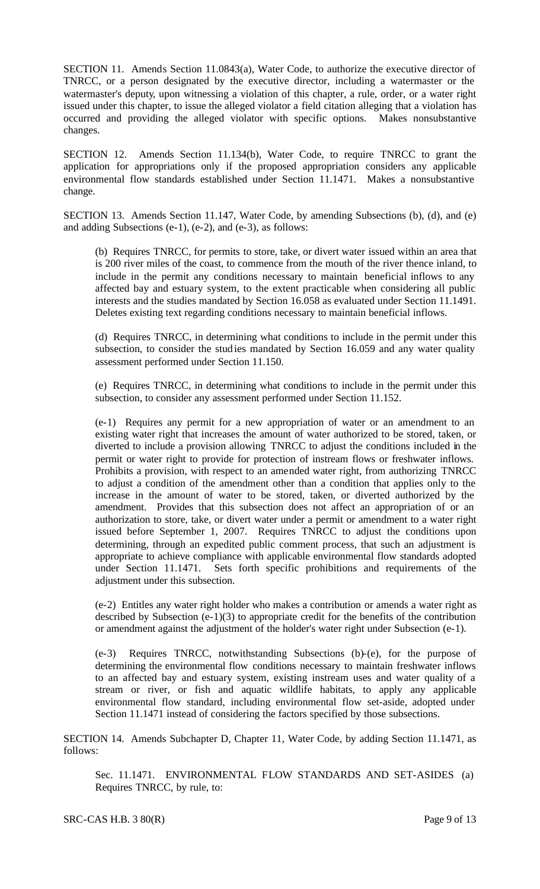SECTION 11. Amends Section 11.0843(a), Water Code, to authorize the executive director of TNRCC, or a person designated by the executive director, including a watermaster or the watermaster's deputy, upon witnessing a violation of this chapter, a rule, order, or a water right issued under this chapter, to issue the alleged violator a field citation alleging that a violation has occurred and providing the alleged violator with specific options. Makes nonsubstantive changes.

SECTION 12. Amends Section 11.134(b), Water Code, to require TNRCC to grant the application for appropriations only if the proposed appropriation considers any applicable environmental flow standards established under Section 11.1471. Makes a nonsubstantive change.

SECTION 13. Amends Section 11.147, Water Code, by amending Subsections (b), (d), and (e) and adding Subsections (e-1), (e-2), and (e-3), as follows:

(b) Requires TNRCC, for permits to store, take, or divert water issued within an area that is 200 river miles of the coast, to commence from the mouth of the river thence inland, to include in the permit any conditions necessary to maintain beneficial inflows to any affected bay and estuary system, to the extent practicable when considering all public interests and the studies mandated by Section 16.058 as evaluated under Section 11.1491. Deletes existing text regarding conditions necessary to maintain beneficial inflows.

(d) Requires TNRCC, in determining what conditions to include in the permit under this subsection, to consider the studies mandated by Section 16.059 and any water quality assessment performed under Section 11.150.

(e) Requires TNRCC, in determining what conditions to include in the permit under this subsection, to consider any assessment performed under Section 11.152.

(e-1) Requires any permit for a new appropriation of water or an amendment to an existing water right that increases the amount of water authorized to be stored, taken, or diverted to include a provision allowing TNRCC to adjust the conditions included in the permit or water right to provide for protection of instream flows or freshwater inflows. Prohibits a provision, with respect to an amended water right, from authorizing TNRCC to adjust a condition of the amendment other than a condition that applies only to the increase in the amount of water to be stored, taken, or diverted authorized by the amendment. Provides that this subsection does not affect an appropriation of or an authorization to store, take, or divert water under a permit or amendment to a water right issued before September 1, 2007. Requires TNRCC to adjust the conditions upon determining, through an expedited public comment process, that such an adjustment is appropriate to achieve compliance with applicable environmental flow standards adopted under Section 11.1471. Sets forth specific prohibitions and requirements of the adjustment under this subsection.

(e-2) Entitles any water right holder who makes a contribution or amends a water right as described by Subsection (e-1)(3) to appropriate credit for the benefits of the contribution or amendment against the adjustment of the holder's water right under Subsection (e-1).

(e-3) Requires TNRCC, notwithstanding Subsections (b)-(e), for the purpose of determining the environmental flow conditions necessary to maintain freshwater inflows to an affected bay and estuary system, existing instream uses and water quality of a stream or river, or fish and aquatic wildlife habitats, to apply any applicable environmental flow standard, including environmental flow set-aside, adopted under Section 11.1471 instead of considering the factors specified by those subsections.

SECTION 14. Amends Subchapter D, Chapter 11, Water Code, by adding Section 11.1471, as follows:

Sec. 11.1471. ENVIRONMENTAL FLOW STANDARDS AND SET-ASIDES (a) Requires TNRCC, by rule, to: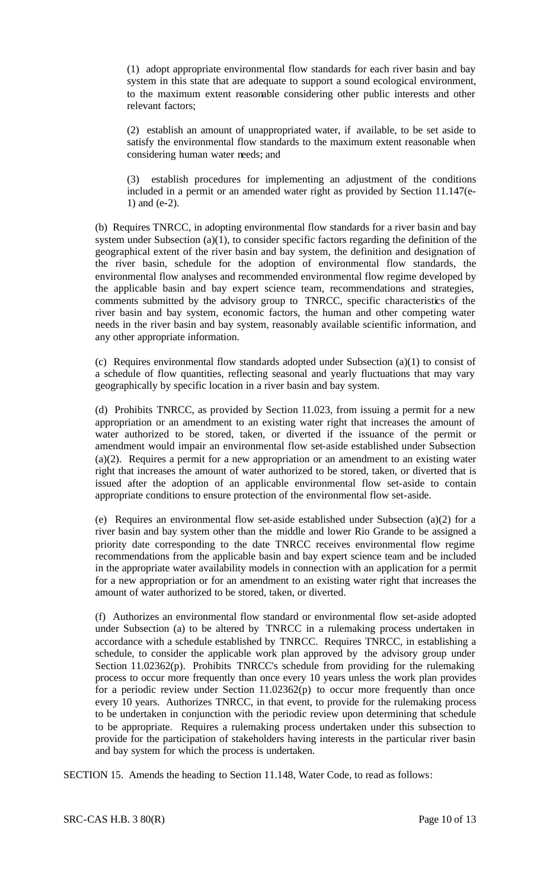(1) adopt appropriate environmental flow standards for each river basin and bay system in this state that are adequate to support a sound ecological environment, to the maximum extent reasonable considering other public interests and other relevant factors;

(2) establish an amount of unappropriated water, if available, to be set aside to satisfy the environmental flow standards to the maximum extent reasonable when considering human water needs; and

(3) establish procedures for implementing an adjustment of the conditions included in a permit or an amended water right as provided by Section 11.147(e-1) and (e-2).

(b) Requires TNRCC, in adopting environmental flow standards for a river basin and bay system under Subsection (a)(1), to consider specific factors regarding the definition of the geographical extent of the river basin and bay system, the definition and designation of the river basin, schedule for the adoption of environmental flow standards, the environmental flow analyses and recommended environmental flow regime developed by the applicable basin and bay expert science team, recommendations and strategies, comments submitted by the advisory group to TNRCC, specific characteristics of the river basin and bay system, economic factors, the human and other competing water needs in the river basin and bay system, reasonably available scientific information, and any other appropriate information.

(c) Requires environmental flow standards adopted under Subsection (a)(1) to consist of a schedule of flow quantities, reflecting seasonal and yearly fluctuations that may vary geographically by specific location in a river basin and bay system.

(d) Prohibits TNRCC, as provided by Section 11.023, from issuing a permit for a new appropriation or an amendment to an existing water right that increases the amount of water authorized to be stored, taken, or diverted if the issuance of the permit or amendment would impair an environmental flow set-aside established under Subsection (a)(2). Requires a permit for a new appropriation or an amendment to an existing water right that increases the amount of water authorized to be stored, taken, or diverted that is issued after the adoption of an applicable environmental flow set-aside to contain appropriate conditions to ensure protection of the environmental flow set-aside.

(e) Requires an environmental flow set-aside established under Subsection (a)(2) for a river basin and bay system other than the middle and lower Rio Grande to be assigned a priority date corresponding to the date TNRCC receives environmental flow regime recommendations from the applicable basin and bay expert science team and be included in the appropriate water availability models in connection with an application for a permit for a new appropriation or for an amendment to an existing water right that increases the amount of water authorized to be stored, taken, or diverted.

(f) Authorizes an environmental flow standard or environmental flow set-aside adopted under Subsection (a) to be altered by TNRCC in a rulemaking process undertaken in accordance with a schedule established by TNRCC. Requires TNRCC, in establishing a schedule, to consider the applicable work plan approved by the advisory group under Section 11.02362(p). Prohibits TNRCC's schedule from providing for the rulemaking process to occur more frequently than once every 10 years unless the work plan provides for a periodic review under Section  $11.02362(p)$  to occur more frequently than once every 10 years. Authorizes TNRCC, in that event, to provide for the rulemaking process to be undertaken in conjunction with the periodic review upon determining that schedule to be appropriate. Requires a rulemaking process undertaken under this subsection to provide for the participation of stakeholders having interests in the particular river basin and bay system for which the process is undertaken.

SECTION 15. Amends the heading to Section 11.148, Water Code, to read as follows: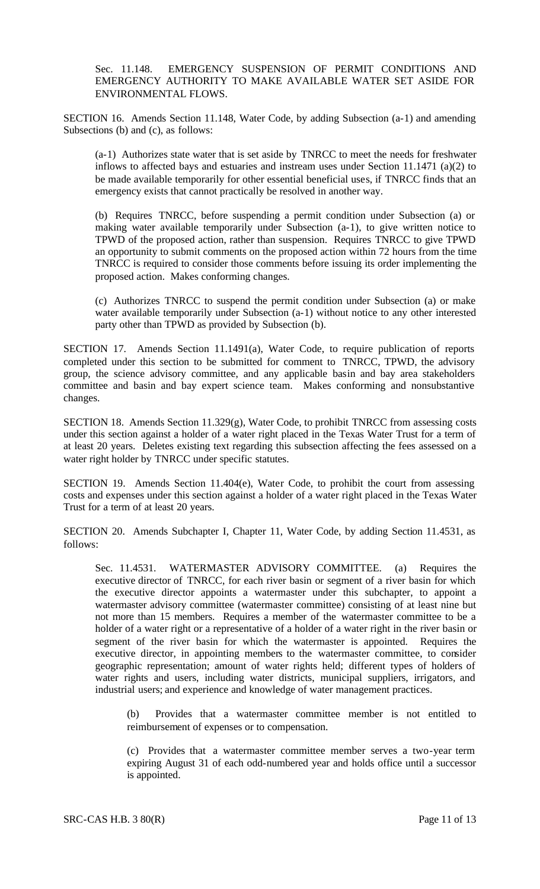Sec. 11.148. EMERGENCY SUSPENSION OF PERMIT CONDITIONS AND EMERGENCY AUTHORITY TO MAKE AVAILABLE WATER SET ASIDE FOR ENVIRONMENTAL FLOWS.

SECTION 16. Amends Section 11.148, Water Code, by adding Subsection (a-1) and amending Subsections (b) and (c), as follows:

(a-1) Authorizes state water that is set aside by TNRCC to meet the needs for freshwater inflows to affected bays and estuaries and instream uses under Section 11.1471 (a)(2) to be made available temporarily for other essential beneficial uses, if TNRCC finds that an emergency exists that cannot practically be resolved in another way.

(b) Requires TNRCC, before suspending a permit condition under Subsection (a) or making water available temporarily under Subsection (a-1), to give written notice to TPWD of the proposed action, rather than suspension. Requires TNRCC to give TPWD an opportunity to submit comments on the proposed action within 72 hours from the time TNRCC is required to consider those comments before issuing its order implementing the proposed action. Makes conforming changes.

(c) Authorizes TNRCC to suspend the permit condition under Subsection (a) or make water available temporarily under Subsection (a-1) without notice to any other interested party other than TPWD as provided by Subsection (b).

SECTION 17. Amends Section 11.1491(a), Water Code, to require publication of reports completed under this section to be submitted for comment to TNRCC, TPWD, the advisory group, the science advisory committee, and any applicable basin and bay area stakeholders committee and basin and bay expert science team. Makes conforming and nonsubstantive changes.

SECTION 18. Amends Section 11.329(g), Water Code, to prohibit TNRCC from assessing costs under this section against a holder of a water right placed in the Texas Water Trust for a term of at least 20 years. Deletes existing text regarding this subsection affecting the fees assessed on a water right holder by TNRCC under specific statutes.

SECTION 19. Amends Section 11.404(e), Water Code, to prohibit the court from assessing costs and expenses under this section against a holder of a water right placed in the Texas Water Trust for a term of at least 20 years.

SECTION 20. Amends Subchapter I, Chapter 11, Water Code, by adding Section 11.4531, as follows:

Sec. 11.4531. WATERMASTER ADVISORY COMMITTEE. (a) Requires the executive director of TNRCC, for each river basin or segment of a river basin for which the executive director appoints a watermaster under this subchapter, to appoint a watermaster advisory committee (watermaster committee) consisting of at least nine but not more than 15 members. Requires a member of the watermaster committee to be a holder of a water right or a representative of a holder of a water right in the river basin or segment of the river basin for which the watermaster is appointed. Requires the executive director, in appointing members to the watermaster committee, to consider geographic representation; amount of water rights held; different types of holders of water rights and users, including water districts, municipal suppliers, irrigators, and industrial users; and experience and knowledge of water management practices.

(b) Provides that a watermaster committee member is not entitled to reimbursement of expenses or to compensation.

(c) Provides that a watermaster committee member serves a two-year term expiring August 31 of each odd-numbered year and holds office until a successor is appointed.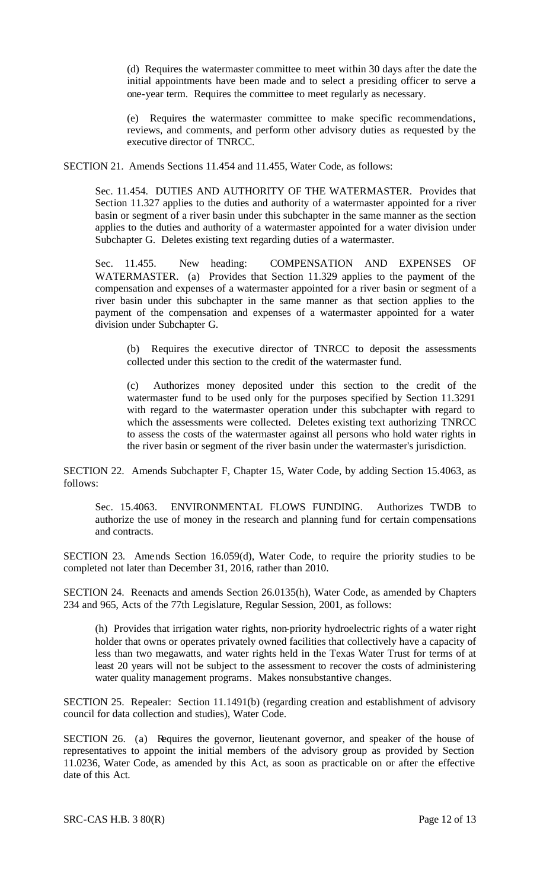(d) Requires the watermaster committee to meet within 30 days after the date the initial appointments have been made and to select a presiding officer to serve a one-year term. Requires the committee to meet regularly as necessary.

(e) Requires the watermaster committee to make specific recommendations, reviews, and comments, and perform other advisory duties as requested by the executive director of TNRCC.

SECTION 21. Amends Sections 11.454 and 11.455, Water Code, as follows:

Sec. 11.454. DUTIES AND AUTHORITY OF THE WATERMASTER. Provides that Section 11.327 applies to the duties and authority of a watermaster appointed for a river basin or segment of a river basin under this subchapter in the same manner as the section applies to the duties and authority of a watermaster appointed for a water division under Subchapter G. Deletes existing text regarding duties of a watermaster.

Sec. 11.455. New heading: COMPENSATION AND EXPENSES OF WATERMASTER. (a) Provides that Section 11.329 applies to the payment of the compensation and expenses of a watermaster appointed for a river basin or segment of a river basin under this subchapter in the same manner as that section applies to the payment of the compensation and expenses of a watermaster appointed for a water division under Subchapter G.

(b) Requires the executive director of TNRCC to deposit the assessments collected under this section to the credit of the watermaster fund.

(c) Authorizes money deposited under this section to the credit of the watermaster fund to be used only for the purposes specified by Section 11.3291 with regard to the watermaster operation under this subchapter with regard to which the assessments were collected. Deletes existing text authorizing TNRCC to assess the costs of the watermaster against all persons who hold water rights in the river basin or segment of the river basin under the watermaster's jurisdiction.

SECTION 22. Amends Subchapter F, Chapter 15, Water Code, by adding Section 15.4063, as follows:

Sec. 15.4063. ENVIRONMENTAL FLOWS FUNDING. Authorizes TWDB to authorize the use of money in the research and planning fund for certain compensations and contracts.

SECTION 23. Amends Section 16.059(d), Water Code, to require the priority studies to be completed not later than December 31, 2016, rather than 2010.

SECTION 24. Reenacts and amends Section 26.0135(h), Water Code, as amended by Chapters 234 and 965, Acts of the 77th Legislature, Regular Session, 2001, as follows:

(h) Provides that irrigation water rights, non-priority hydroelectric rights of a water right holder that owns or operates privately owned facilities that collectively have a capacity of less than two megawatts, and water rights held in the Texas Water Trust for terms of at least 20 years will not be subject to the assessment to recover the costs of administering water quality management programs. Makes nonsubstantive changes.

SECTION 25. Repealer: Section 11.1491(b) (regarding creation and establishment of advisory council for data collection and studies), Water Code.

SECTION 26. (a) Requires the governor, lieutenant governor, and speaker of the house of representatives to appoint the initial members of the advisory group as provided by Section 11.0236, Water Code, as amended by this Act, as soon as practicable on or after the effective date of this Act.